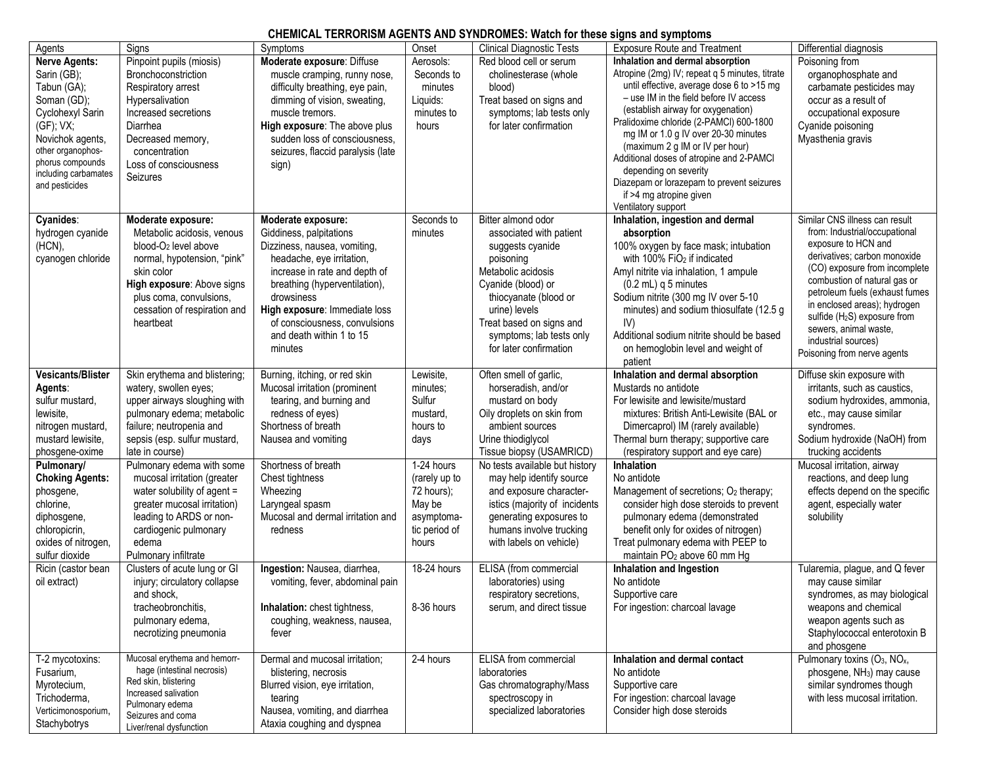## **CHEMICAL TERRORISM AGENTS AND SYNDROMES: Watch for these signs and symptoms**

| Agents                                | Signs                                                | סווכווווסרב ובתולטומסות רוסבת וס רומט ס ומטולטווובט. מתגטורוטרמוסט סוקווס מות סץווואסוווס<br>Symptoms | Onset         | <b>Clinical Diagnostic Tests</b> | <b>Exposure Route and Treatment</b>               |                                                                   |
|---------------------------------------|------------------------------------------------------|-------------------------------------------------------------------------------------------------------|---------------|----------------------------------|---------------------------------------------------|-------------------------------------------------------------------|
|                                       |                                                      |                                                                                                       |               |                                  |                                                   | Differential diagnosis                                            |
| <b>Nerve Agents:</b>                  | Pinpoint pupils (miosis)                             | Moderate exposure: Diffuse                                                                            | Aerosols:     | Red blood cell or serum          | Inhalation and dermal absorption                  | Poisoning from                                                    |
| Sarin (GB);                           | Bronchoconstriction                                  | muscle cramping, runny nose,                                                                          | Seconds to    | cholinesterase (whole            | Atropine (2mg) IV; repeat q 5 minutes, titrate    | organophosphate and                                               |
| Tabun (GA);                           | Respiratory arrest                                   | difficulty breathing, eye pain,                                                                       | minutes       | blood)                           | until effective, average dose 6 to >15 mg         | carbamate pesticides may                                          |
| Soman (GD);                           | Hypersalivation                                      | dimming of vision, sweating,                                                                          | Liquids:      | Treat based on signs and         | - use IM in the field before IV access            | occur as a result of                                              |
| Cyclohexyl Sarin                      | Increased secretions                                 | muscle tremors.                                                                                       | minutes to    | symptoms; lab tests only         | (establish airway for oxygenation)                | occupational exposure                                             |
| $(GF);$ VX;                           | Diarrhea                                             | High exposure: The above plus                                                                         | hours         | for later confirmation           | Pralidoxime chloride (2-PAMCI) 600-1800           | Cyanide poisoning                                                 |
| Novichok agents,                      | Decreased memory,                                    | sudden loss of consciousness,                                                                         |               |                                  | mg IM or 1.0 g IV over 20-30 minutes              | Myasthenia gravis                                                 |
| other organophos-                     | concentration                                        | seizures, flaccid paralysis (late                                                                     |               |                                  | (maximum 2 g IM or IV per hour)                   |                                                                   |
| phorus compounds                      | Loss of consciousness                                | sign)                                                                                                 |               |                                  | Additional doses of atropine and 2-PAMCI          |                                                                   |
| including carbamates                  | Seizures                                             |                                                                                                       |               |                                  | depending on severity                             |                                                                   |
| and pesticides                        |                                                      |                                                                                                       |               |                                  | Diazepam or lorazepam to prevent seizures         |                                                                   |
|                                       |                                                      |                                                                                                       |               |                                  | if >4 mg atropine given                           |                                                                   |
|                                       |                                                      |                                                                                                       |               |                                  | Ventilatory support                               |                                                                   |
| Cyanides:                             | Moderate exposure:                                   | Moderate exposure:                                                                                    | Seconds to    | Bitter almond odor               | Inhalation, ingestion and dermal                  | Similar CNS illness can result                                    |
| hydrogen cyanide                      | Metabolic acidosis, venous                           | Giddiness, palpitations                                                                               | minutes       | associated with patient          | absorption                                        | from: Industrial/occupational                                     |
| (HCN),                                | blood-O <sub>2</sub> level above                     | Dizziness, nausea, vomiting,                                                                          |               | suggests cyanide                 | 100% oxygen by face mask; intubation              | exposure to HCN and                                               |
| cyanogen chloride                     | normal, hypotension, "pink"                          | headache, eye irritation,                                                                             |               | poisoning                        | with 100% FiO <sub>2</sub> if indicated           | derivatives; carbon monoxide                                      |
|                                       | skin color                                           | increase in rate and depth of                                                                         |               | Metabolic acidosis               | Amyl nitrite via inhalation, 1 ampule             | (CO) exposure from incomplete                                     |
|                                       | High exposure: Above signs                           | breathing (hyperventilation),                                                                         |               | Cyanide (blood) or               | $(0.2 \text{ mL})$ q 5 minutes                    | combustion of natural gas or                                      |
|                                       | plus coma, convulsions,                              | drowsiness                                                                                            |               | thiocyanate (blood or            | Sodium nitrite (300 mg IV over 5-10               | petroleum fuels (exhaust fumes                                    |
|                                       | cessation of respiration and                         | High exposure: Immediate loss                                                                         |               | urine) levels                    | minutes) and sodium thiosulfate (12.5 g           | in enclosed areas); hydrogen                                      |
|                                       | heartbeat                                            | of consciousness, convulsions                                                                         |               | Treat based on signs and         | IV)                                               | sulfide (H <sub>2</sub> S) exposure from<br>sewers, animal waste, |
|                                       |                                                      | and death within 1 to 15                                                                              |               | symptoms; lab tests only         | Additional sodium nitrite should be based         | industrial sources)                                               |
|                                       |                                                      | minutes                                                                                               |               | for later confirmation           | on hemoglobin level and weight of                 | Poisoning from nerve agents                                       |
|                                       |                                                      |                                                                                                       |               |                                  | patient                                           |                                                                   |
| <b>Vesicants/Blister</b>              | Skin erythema and blistering;                        | Burning, itching, or red skin                                                                         | Lewisite,     | Often smell of garlic,           | Inhalation and dermal absorption                  | Diffuse skin exposure with                                        |
| Agents:                               | watery, swollen eyes;                                | Mucosal irritation (prominent                                                                         | minutes;      | horseradish, and/or              | Mustards no antidote                              | irritants, such as caustics,                                      |
| sulfur mustard,                       | upper airways sloughing with                         | tearing, and burning and                                                                              | Sulfur        | mustard on body                  | For lewisite and lewisite/mustard                 | sodium hydroxides, ammonia,                                       |
| lewisite.                             | pulmonary edema; metabolic                           | redness of eyes)                                                                                      | mustard,      | Oily droplets on skin from       | mixtures: British Anti-Lewisite (BAL or           | etc., may cause similar                                           |
| nitrogen mustard,                     | failure; neutropenia and                             | Shortness of breath                                                                                   | hours to      | ambient sources                  | Dimercaprol) IM (rarely available)                | syndromes.                                                        |
| mustard lewisite.                     | sepsis (esp. sulfur mustard,                         | Nausea and vomiting                                                                                   | days          | Urine thiodiglycol               | Thermal burn therapy; supportive care             | Sodium hydroxide (NaOH) from                                      |
| phosgene-oxime                        | late in course)                                      |                                                                                                       |               | Tissue biopsy (USAMRICD)         | (respiratory support and eye care)                | trucking accidents                                                |
| Pulmonary/                            | Pulmonary edema with some                            | Shortness of breath                                                                                   | 1-24 hours    | No tests available but history   | <b>Inhalation</b>                                 | Mucosal irritation, airway                                        |
| <b>Choking Agents:</b>                | mucosal irritation (greater                          | Chest tightness                                                                                       | (rarely up to | may help identify source         | No antidote                                       | reactions, and deep lung                                          |
| phosgene,                             | water solubility of agent =                          | Wheezing                                                                                              | 72 hours);    | and exposure character-          | Management of secretions; O <sub>2</sub> therapy; | effects depend on the specific                                    |
| chlorine,                             | greater mucosal irritation)                          | Laryngeal spasm                                                                                       | May be        | istics (majority of incidents    | consider high dose steroids to prevent            | agent, especially water                                           |
| diphosgene,                           | leading to ARDS or non-                              | Mucosal and dermal irritation and                                                                     | asymptoma-    | generating exposures to          | pulmonary edema (demonstrated                     | solubility                                                        |
| chloropicrin,                         | cardiogenic pulmonary                                | redness                                                                                               | tic period of | humans involve trucking          | benefit only for oxides of nitrogen)              |                                                                   |
|                                       | edema                                                |                                                                                                       | hours         | with labels on vehicle)          | Treat pulmonary edema with PEEP to                |                                                                   |
| oxides of nitrogen,<br>sulfur dioxide |                                                      |                                                                                                       |               |                                  | maintain PO <sub>2</sub> above 60 mm Hg           |                                                                   |
| Ricin (castor bean                    | Pulmonary infiltrate<br>Clusters of acute lung or GI | Ingestion: Nausea, diarrhea,                                                                          | $18-24$ hours | ELISA (from commercial           | Inhalation and Ingestion                          | Tularemia, plague, and Q fever                                    |
|                                       | injury; circulatory collapse                         |                                                                                                       |               |                                  | No antidote                                       |                                                                   |
| oil extract)                          |                                                      | vomiting, fever, abdominal pain                                                                       |               | laboratories) using              |                                                   | may cause similar                                                 |
|                                       | and shock,                                           |                                                                                                       |               | respiratory secretions,          | Supportive care                                   | syndromes, as may biological                                      |
|                                       | tracheobronchitis.                                   | Inhalation: chest tightness,                                                                          | 8-36 hours    | serum, and direct tissue         | For ingestion: charcoal lavage                    | weapons and chemical                                              |
|                                       | pulmonary edema,                                     | coughing, weakness, nausea,                                                                           |               |                                  |                                                   | weapon agents such as                                             |
|                                       | necrotizing pneumonia                                | fever                                                                                                 |               |                                  |                                                   | Staphylococcal enterotoxin B                                      |
|                                       |                                                      |                                                                                                       |               |                                  |                                                   | and phosgene                                                      |
| T-2 mycotoxins:                       | Mucosal erythema and hemorr-                         | Dermal and mucosal irritation;                                                                        | 2-4 hours     | ELISA from commercial            | Inhalation and dermal contact                     | Pulmonary toxins (O <sub>3</sub> , NO <sub>x</sub> ,              |
| Fusarium,                             | hage (intestinal necrosis)<br>Red skin, blistering   | blistering, necrosis                                                                                  |               | laboratories                     | No antidote                                       | phosgene, NH <sub>3</sub> ) may cause                             |
| Myrotecium,                           | Increased salivation                                 | Blurred vision, eye irritation,                                                                       |               | Gas chromatography/Mass          | Supportive care                                   | similar syndromes though                                          |
| Trichoderma,                          | Pulmonary edema                                      | tearing                                                                                               |               | spectroscopy in                  | For ingestion: charcoal lavage                    | with less mucosal irritation.                                     |
| Verticimonosporium,                   | Seizures and coma                                    | Nausea, vomiting, and diarrhea                                                                        |               | specialized laboratories         | Consider high dose steroids                       |                                                                   |
| Stachybotrys                          | Liver/renal dysfunction                              | Ataxia coughing and dyspnea                                                                           |               |                                  |                                                   |                                                                   |